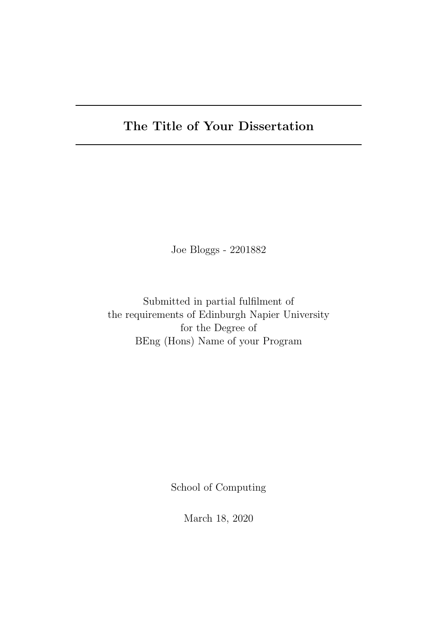# The Title of Your Dissertation

Joe Bloggs - 2201882

Submitted in partial fulfilment of the requirements of Edinburgh Napier University for the Degree of BEng (Hons) Name of your Program

School of Computing

March 18, 2020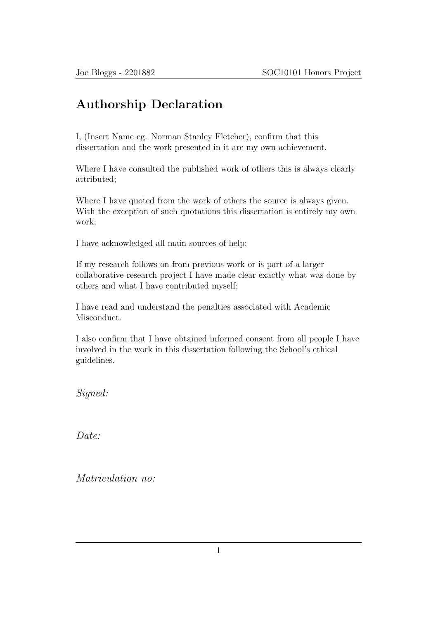### Authorship Declaration

I, (Insert Name eg. Norman Stanley Fletcher), confirm that this dissertation and the work presented in it are my own achievement.

Where I have consulted the published work of others this is always clearly attributed;

Where I have quoted from the work of others the source is always given. With the exception of such quotations this dissertation is entirely my own work;

I have acknowledged all main sources of help;

If my research follows on from previous work or is part of a larger collaborative research project I have made clear exactly what was done by others and what I have contributed myself;

I have read and understand the penalties associated with Academic Misconduct.

I also confirm that I have obtained informed consent from all people I have involved in the work in this dissertation following the School's ethical guidelines.

Signed:

Date:

Matriculation no: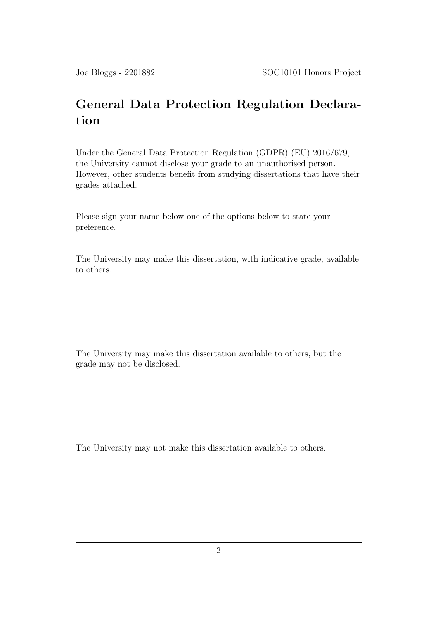### General Data Protection Regulation Declaration

Under the General Data Protection Regulation (GDPR) (EU) 2016/679, the University cannot disclose your grade to an unauthorised person. However, other students benefit from studying dissertations that have their grades attached.

Please sign your name below one of the options below to state your preference.

The University may make this dissertation, with indicative grade, available to others.

The University may make this dissertation available to others, but the grade may not be disclosed.

The University may not make this dissertation available to others.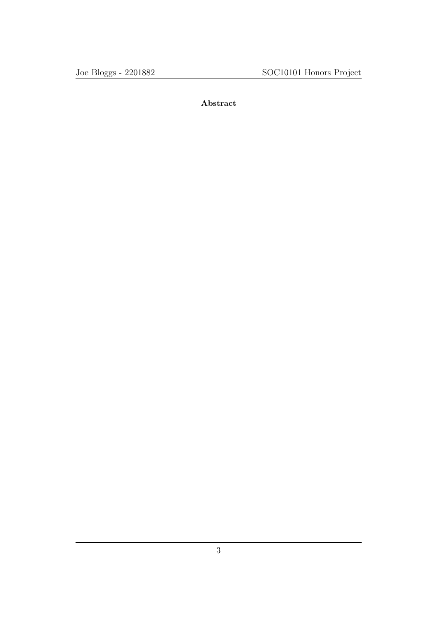Abstract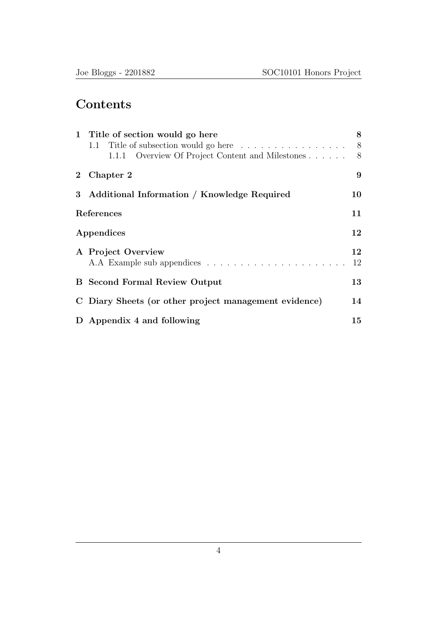# **Contents**

|                | 1 Title of section would go here                      | 8  |
|----------------|-------------------------------------------------------|----|
|                | 1.1 Title of subsection would go here                 | 8  |
|                | 1.1.1 Overview Of Project Content and Milestones      | 8  |
| $\mathbf{2}$   | Chapter 2                                             | 9  |
| 3 <sup>1</sup> | Additional Information / Knowledge Required           | 10 |
|                | References                                            | 11 |
|                | Appendices                                            | 12 |
|                | A Project Overview                                    | 12 |
|                |                                                       | 12 |
|                | <b>B</b> Second Formal Review Output                  | 13 |
|                | C Diary Sheets (or other project management evidence) | 14 |
|                | D Appendix 4 and following                            | 15 |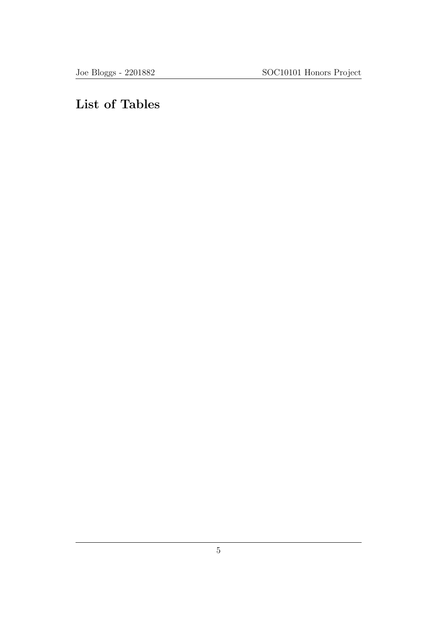# List of Tables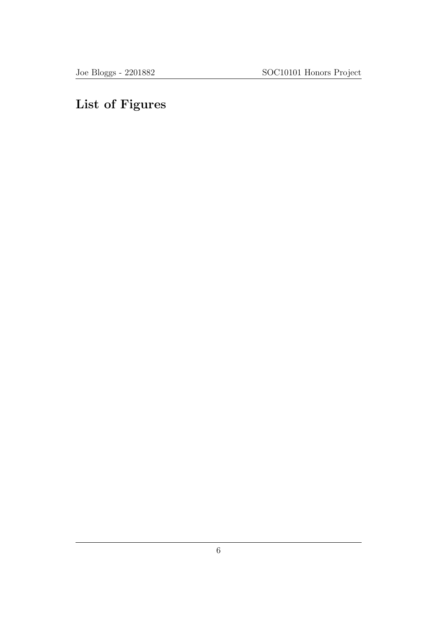# List of Figures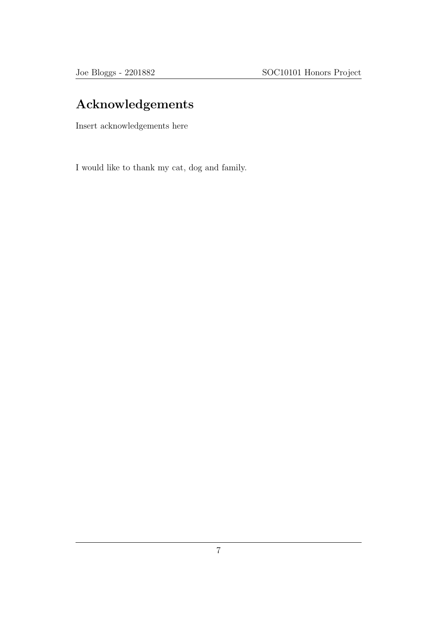# Acknowledgements

Insert acknowledgements here

I would like to thank my cat, dog and family.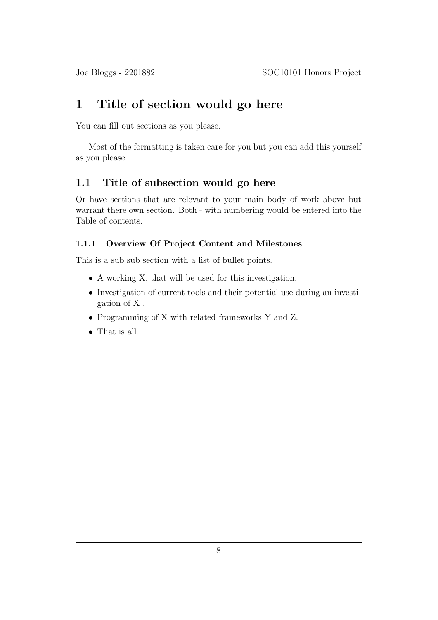### 1 Title of section would go here

You can fill out sections as you please.

Most of the formatting is taken care for you but you can add this yourself as you please.

#### 1.1 Title of subsection would go here

Or have sections that are relevant to your main body of work above but warrant there own section. Both - with numbering would be entered into the Table of contents.

#### 1.1.1 Overview Of Project Content and Milestones

This is a sub sub section with a list of bullet points.

- A working X, that will be used for this investigation.
- Investigation of current tools and their potential use during an investigation of X .
- Programming of X with related frameworks Y and Z.
- That is all.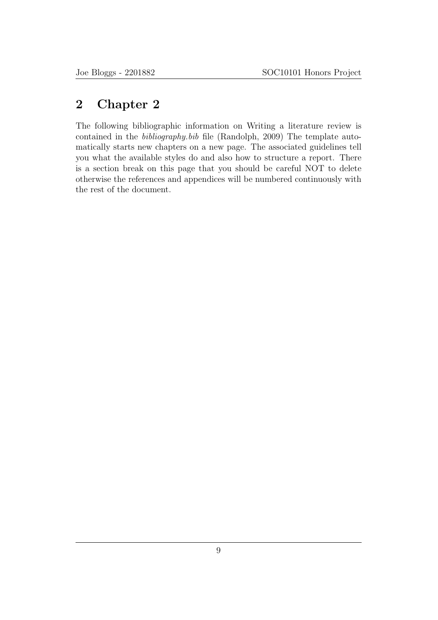### 2 Chapter 2

The following bibliographic information on Writing a literature review is contained in the bibliography.bib file (Randolph, 2009) The template automatically starts new chapters on a new page. The associated guidelines tell you what the available styles do and also how to structure a report. There is a section break on this page that you should be careful NOT to delete otherwise the references and appendices will be numbered continuously with the rest of the document.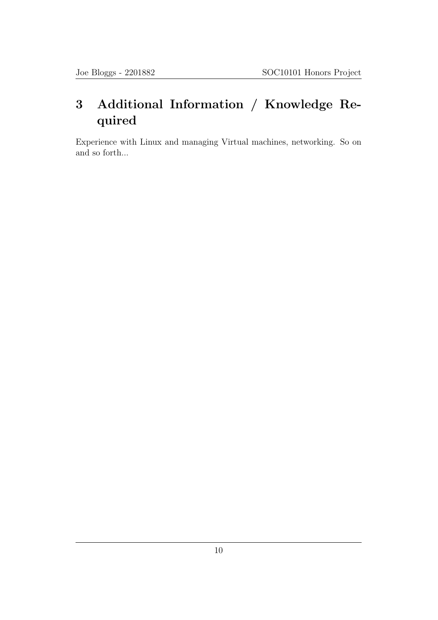# 3 Additional Information / Knowledge Required

Experience with Linux and managing Virtual machines, networking. So on and so forth...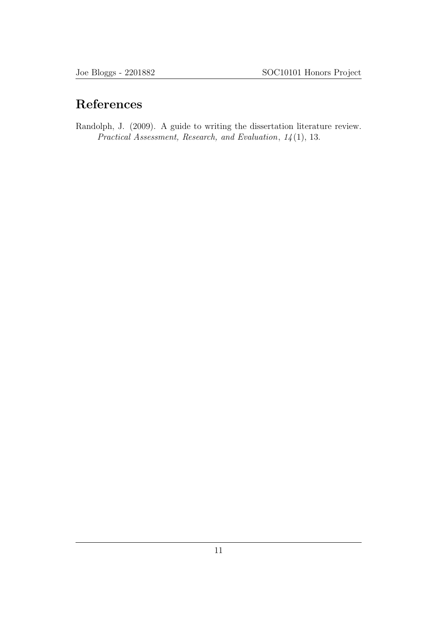# References

Randolph, J. (2009). A guide to writing the dissertation literature review. Practical Assessment, Research, and Evaluation, 14 (1), 13.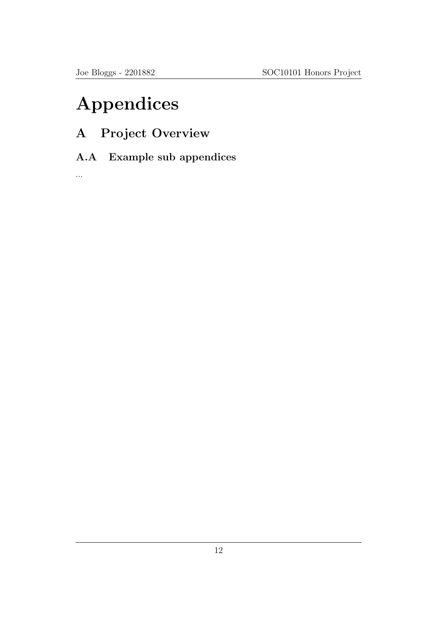# Appendices

- A Project Overview
- A.A Example sub appendices

...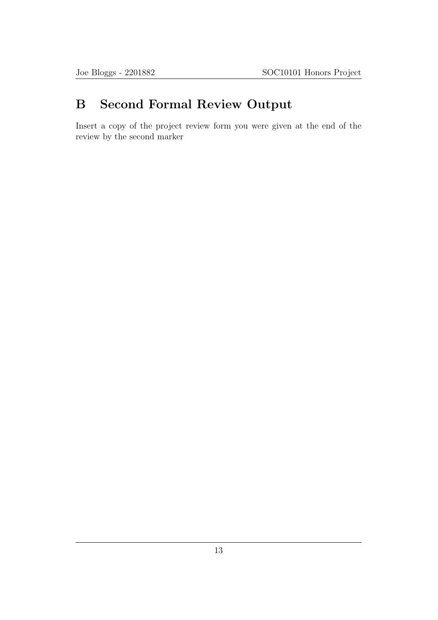# B Second Formal Review Output

Insert a copy of the project review form you were given at the end of the review by the second marker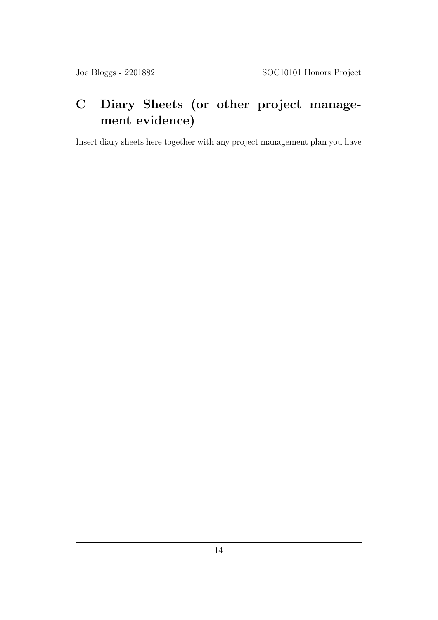# C Diary Sheets (or other project management evidence)

Insert diary sheets here together with any project management plan you have